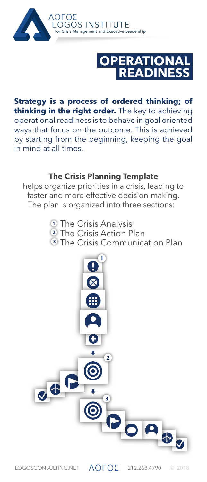



**Strategy is a process of ordered thinking; of thinking in the right order.** The key to achieving operational readiness is to behave in goal oriented ways that focus on the outcome. This is achieved by starting from the beginning, keeping the goal in mind at all times.

## **The Crisis Planning Template**

helps organize priorities in a crisis, leading to faster and more effective decision-making. The plan is organized into three sections:

> *O* The Crisis Analysis <sup>2</sup> The Crisis Action Plan **3** The Crisis Communication Plan